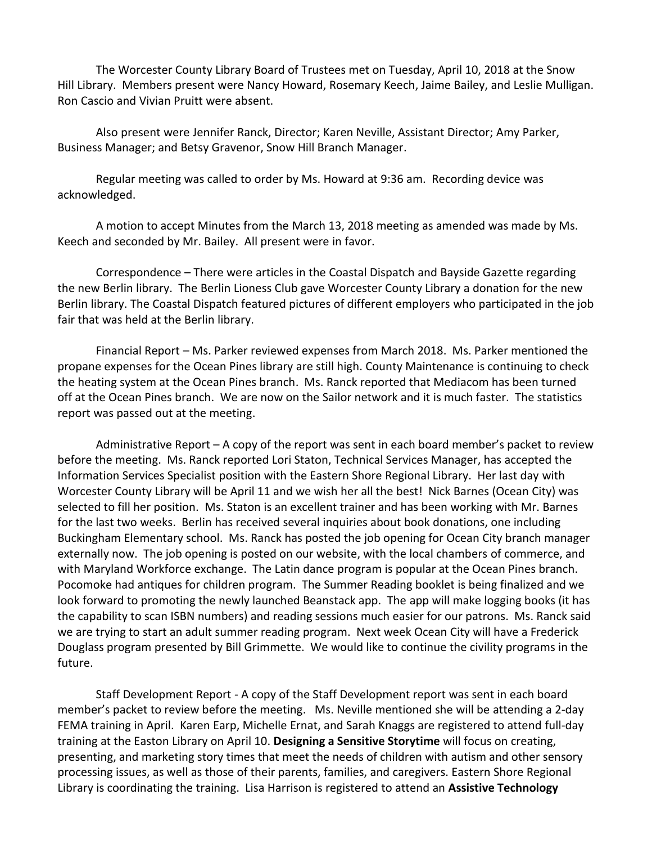The Worcester County Library Board of Trustees met on Tuesday, April 10, 2018 at the Snow Hill Library. Members present were Nancy Howard, Rosemary Keech, Jaime Bailey, and Leslie Mulligan. Ron Cascio and Vivian Pruitt were absent.

Also present were Jennifer Ranck, Director; Karen Neville, Assistant Director; Amy Parker, Business Manager; and Betsy Gravenor, Snow Hill Branch Manager.

Regular meeting was called to order by Ms. Howard at 9:36 am. Recording device was acknowledged.

A motion to accept Minutes from the March 13, 2018 meeting as amended was made by Ms. Keech and seconded by Mr. Bailey. All present were in favor.

Correspondence – There were articles in the Coastal Dispatch and Bayside Gazette regarding the new Berlin library. The Berlin Lioness Club gave Worcester County Library a donation for the new Berlin library. The Coastal Dispatch featured pictures of different employers who participated in the job fair that was held at the Berlin library.

Financial Report – Ms. Parker reviewed expenses from March 2018. Ms. Parker mentioned the propane expenses for the Ocean Pines library are still high. County Maintenance is continuing to check the heating system at the Ocean Pines branch. Ms. Ranck reported that Mediacom has been turned off at the Ocean Pines branch. We are now on the Sailor network and it is much faster. The statistics report was passed out at the meeting.

Administrative Report – A copy of the report was sent in each board member's packet to review before the meeting. Ms. Ranck reported Lori Staton, Technical Services Manager, has accepted the Information Services Specialist position with the Eastern Shore Regional Library. Her last day with Worcester County Library will be April 11 and we wish her all the best! Nick Barnes (Ocean City) was selected to fill her position. Ms. Staton is an excellent trainer and has been working with Mr. Barnes for the last two weeks. Berlin has received several inquiries about book donations, one including Buckingham Elementary school. Ms. Ranck has posted the job opening for Ocean City branch manager externally now. The job opening is posted on our website, with the local chambers of commerce, and with Maryland Workforce exchange. The Latin dance program is popular at the Ocean Pines branch. Pocomoke had antiques for children program. The Summer Reading booklet is being finalized and we look forward to promoting the newly launched Beanstack app. The app will make logging books (it has the capability to scan ISBN numbers) and reading sessions much easier for our patrons. Ms. Ranck said we are trying to start an adult summer reading program. Next week Ocean City will have a Frederick Douglass program presented by Bill Grimmette. We would like to continue the civility programs in the future.

Staff Development Report - A copy of the Staff Development report was sent in each board member's packet to review before the meeting. Ms. Neville mentioned she will be attending a 2-day FEMA training in April. Karen Earp, Michelle Ernat, and Sarah Knaggs are registered to attend full-day training at the Easton Library on April 10. **Designing a Sensitive Storytime** will focus on creating, presenting, and marketing story times that meet the needs of children with autism and other sensory processing issues, as well as those of their parents, families, and caregivers. Eastern Shore Regional Library is coordinating the training. Lisa Harrison is registered to attend an **Assistive Technology**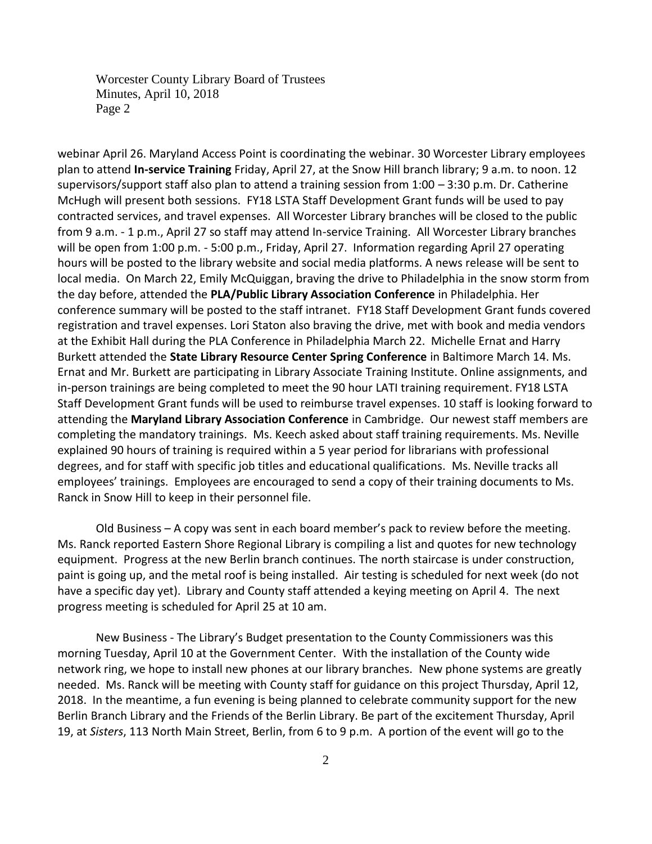Worcester County Library Board of Trustees Minutes, April 10, 2018 Page 2

webinar April 26. Maryland Access Point is coordinating the webinar. 30 Worcester Library employees plan to attend **In-service Training** Friday, April 27, at the Snow Hill branch library; 9 a.m. to noon. 12 supervisors/support staff also plan to attend a training session from 1:00 – 3:30 p.m. Dr. Catherine McHugh will present both sessions. FY18 LSTA Staff Development Grant funds will be used to pay contracted services, and travel expenses. All Worcester Library branches will be closed to the public from 9 a.m. - 1 p.m., April 27 so staff may attend In-service Training. All Worcester Library branches will be open from 1:00 p.m. - 5:00 p.m., Friday, April 27. Information regarding April 27 operating hours will be posted to the library website and social media platforms. A news release will be sent to local media. On March 22, Emily McQuiggan, braving the drive to Philadelphia in the snow storm from the day before, attended the **PLA/Public Library Association Conference** in Philadelphia. Her conference summary will be posted to the staff intranet. FY18 Staff Development Grant funds covered registration and travel expenses. Lori Staton also braving the drive, met with book and media vendors at the Exhibit Hall during the PLA Conference in Philadelphia March 22. Michelle Ernat and Harry Burkett attended the **State Library Resource Center Spring Conference** in Baltimore March 14. Ms. Ernat and Mr. Burkett are participating in Library Associate Training Institute. Online assignments, and in-person trainings are being completed to meet the 90 hour LATI training requirement. FY18 LSTA Staff Development Grant funds will be used to reimburse travel expenses. 10 staff is looking forward to attending the **Maryland Library Association Conference** in Cambridge. Our newest staff members are completing the mandatory trainings. Ms. Keech asked about staff training requirements. Ms. Neville explained 90 hours of training is required within a 5 year period for librarians with professional degrees, and for staff with specific job titles and educational qualifications. Ms. Neville tracks all employees' trainings. Employees are encouraged to send a copy of their training documents to Ms. Ranck in Snow Hill to keep in their personnel file.

Old Business – A copy was sent in each board member's pack to review before the meeting. Ms. Ranck reported Eastern Shore Regional Library is compiling a list and quotes for new technology equipment. Progress at the new Berlin branch continues. The north staircase is under construction, paint is going up, and the metal roof is being installed. Air testing is scheduled for next week (do not have a specific day yet). Library and County staff attended a keying meeting on April 4. The next progress meeting is scheduled for April 25 at 10 am.

New Business - The Library's Budget presentation to the County Commissioners was this morning Tuesday, April 10 at the Government Center. With the installation of the County wide network ring, we hope to install new phones at our library branches. New phone systems are greatly needed. Ms. Ranck will be meeting with County staff for guidance on this project Thursday, April 12, 2018. In the meantime, a fun evening is being planned to celebrate community support for the new Berlin Branch Library and the Friends of the Berlin Library. Be part of the excitement Thursday, April 19, at *Sisters*, 113 North Main Street, Berlin, from 6 to 9 p.m. A portion of the event will go to the